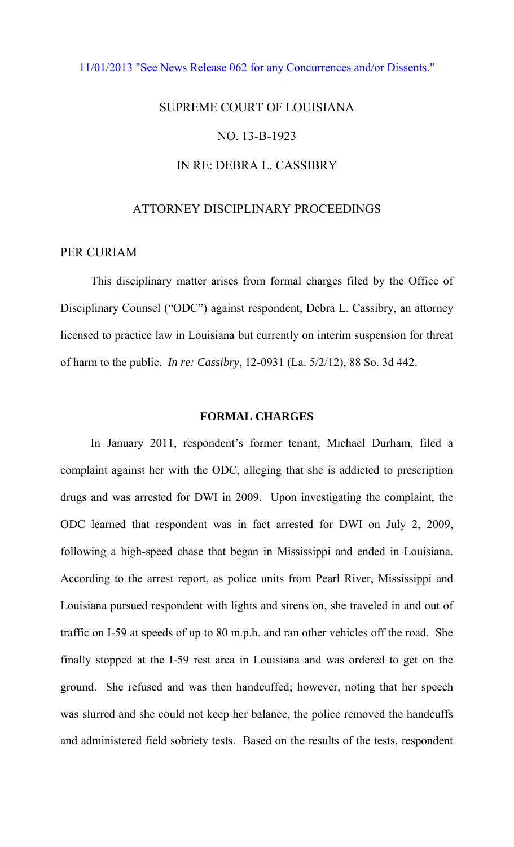## [11/01/2013 "See News Release 062 for any Concurrences and/or Dissents."](http://www.lasc.org/Actions?p=2013-062)

# SUPREME COURT OF LOUISIANA NO. 13-B-1923 IN RE: DEBRA L. CASSIBRY

## ATTORNEY DISCIPLINARY PROCEEDINGS

## PER CURIAM

This disciplinary matter arises from formal charges filed by the Office of Disciplinary Counsel ("ODC") against respondent, Debra L. Cassibry, an attorney licensed to practice law in Louisiana but currently on interim suspension for threat of harm to the public. *In re: Cassibry*, 12-0931 (La. 5/2/12), 88 So. 3d 442.

#### **FORMAL CHARGES**

In January 2011, respondent's former tenant, Michael Durham, filed a complaint against her with the ODC, alleging that she is addicted to prescription drugs and was arrested for DWI in 2009. Upon investigating the complaint, the ODC learned that respondent was in fact arrested for DWI on July 2, 2009, following a high-speed chase that began in Mississippi and ended in Louisiana. According to the arrest report, as police units from Pearl River, Mississippi and Louisiana pursued respondent with lights and sirens on, she traveled in and out of traffic on I-59 at speeds of up to 80 m.p.h. and ran other vehicles off the road. She finally stopped at the I-59 rest area in Louisiana and was ordered to get on the ground. She refused and was then handcuffed; however, noting that her speech was slurred and she could not keep her balance, the police removed the handcuffs and administered field sobriety tests. Based on the results of the tests, respondent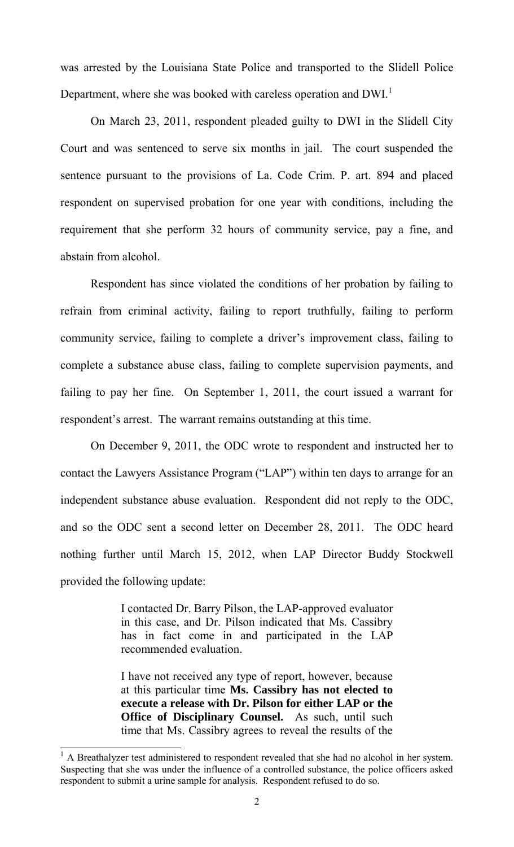was arrested by the Louisiana State Police and transported to the Slidell Police Department, where she was booked with careless operation and DWI.<sup>1</sup>

On March 23, 2011, respondent pleaded guilty to DWI in the Slidell City Court and was sentenced to serve six months in jail. The court suspended the sentence pursuant to the provisions of La. Code Crim. P. art. 894 and placed respondent on supervised probation for one year with conditions, including the requirement that she perform 32 hours of community service, pay a fine, and abstain from alcohol.

Respondent has since violated the conditions of her probation by failing to refrain from criminal activity, failing to report truthfully, failing to perform community service, failing to complete a driver's improvement class, failing to complete a substance abuse class, failing to complete supervision payments, and failing to pay her fine. On September 1, 2011, the court issued a warrant for respondent's arrest. The warrant remains outstanding at this time.

On December 9, 2011, the ODC wrote to respondent and instructed her to contact the Lawyers Assistance Program ("LAP") within ten days to arrange for an independent substance abuse evaluation. Respondent did not reply to the ODC, and so the ODC sent a second letter on December 28, 2011. The ODC heard nothing further until March 15, 2012, when LAP Director Buddy Stockwell provided the following update:

> I contacted Dr. Barry Pilson, the LAP-approved evaluator in this case, and Dr. Pilson indicated that Ms. Cassibry has in fact come in and participated in the LAP recommended evaluation.

> I have not received any type of report, however, because at this particular time **Ms. Cassibry has not elected to execute a release with Dr. Pilson for either LAP or the Office of Disciplinary Counsel.** As such, until such time that Ms. Cassibry agrees to reveal the results of the

<sup>&</sup>lt;sup>1</sup> A Breathalyzer test administered to respondent revealed that she had no alcohol in her system. Suspecting that she was under the influence of a controlled substance, the police officers asked respondent to submit a urine sample for analysis. Respondent refused to do so.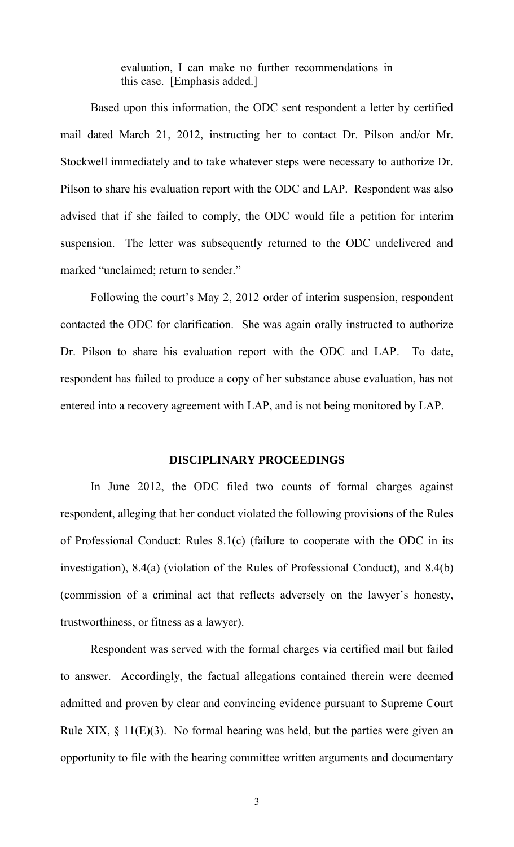evaluation, I can make no further recommendations in this case. [Emphasis added.]

 Based upon this information, the ODC sent respondent a letter by certified mail dated March 21, 2012, instructing her to contact Dr. Pilson and/or Mr. Stockwell immediately and to take whatever steps were necessary to authorize Dr. Pilson to share his evaluation report with the ODC and LAP. Respondent was also advised that if she failed to comply, the ODC would file a petition for interim suspension. The letter was subsequently returned to the ODC undelivered and marked "unclaimed; return to sender."

Following the court's May 2, 2012 order of interim suspension, respondent contacted the ODC for clarification. She was again orally instructed to authorize Dr. Pilson to share his evaluation report with the ODC and LAP. To date, respondent has failed to produce a copy of her substance abuse evaluation, has not entered into a recovery agreement with LAP, and is not being monitored by LAP.

## **DISCIPLINARY PROCEEDINGS**

In June 2012, the ODC filed two counts of formal charges against respondent, alleging that her conduct violated the following provisions of the Rules of Professional Conduct: Rules 8.1(c) (failure to cooperate with the ODC in its investigation), 8.4(a) (violation of the Rules of Professional Conduct), and 8.4(b) (commission of a criminal act that reflects adversely on the lawyer's honesty, trustworthiness, or fitness as a lawyer).

Respondent was served with the formal charges via certified mail but failed to answer. Accordingly, the factual allegations contained therein were deemed admitted and proven by clear and convincing evidence pursuant to Supreme Court Rule XIX,  $\S$  11(E)(3). No formal hearing was held, but the parties were given an opportunity to file with the hearing committee written arguments and documentary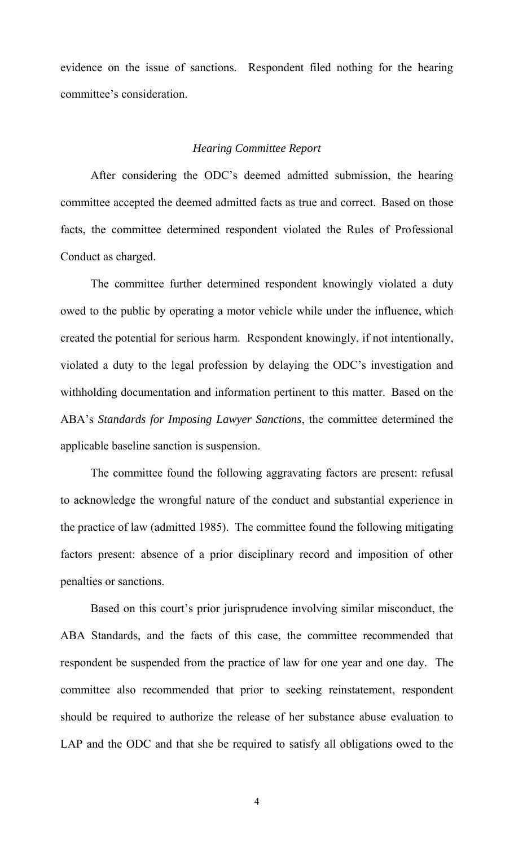evidence on the issue of sanctions. Respondent filed nothing for the hearing committee's consideration.

#### *Hearing Committee Report*

After considering the ODC's deemed admitted submission, the hearing committee accepted the deemed admitted facts as true and correct. Based on those facts, the committee determined respondent violated the Rules of Professional Conduct as charged.

The committee further determined respondent knowingly violated a duty owed to the public by operating a motor vehicle while under the influence, which created the potential for serious harm. Respondent knowingly, if not intentionally, violated a duty to the legal profession by delaying the ODC's investigation and withholding documentation and information pertinent to this matter. Based on the ABA's *Standards for Imposing Lawyer Sanctions*, the committee determined the applicable baseline sanction is suspension.

The committee found the following aggravating factors are present: refusal to acknowledge the wrongful nature of the conduct and substantial experience in the practice of law (admitted 1985). The committee found the following mitigating factors present: absence of a prior disciplinary record and imposition of other penalties or sanctions.

Based on this court's prior jurisprudence involving similar misconduct, the ABA Standards, and the facts of this case, the committee recommended that respondent be suspended from the practice of law for one year and one day. The committee also recommended that prior to seeking reinstatement, respondent should be required to authorize the release of her substance abuse evaluation to LAP and the ODC and that she be required to satisfy all obligations owed to the

4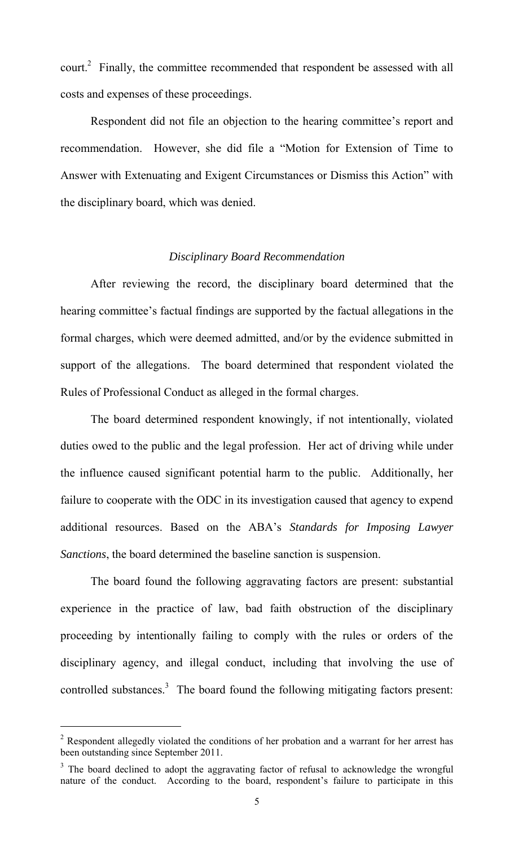court.<sup>2</sup> Finally, the committee recommended that respondent be assessed with all costs and expenses of these proceedings.

Respondent did not file an objection to the hearing committee's report and recommendation. However, she did file a "Motion for Extension of Time to Answer with Extenuating and Exigent Circumstances or Dismiss this Action" with the disciplinary board, which was denied.

## *Disciplinary Board Recommendation*

After reviewing the record, the disciplinary board determined that the hearing committee's factual findings are supported by the factual allegations in the formal charges, which were deemed admitted, and/or by the evidence submitted in support of the allegations. The board determined that respondent violated the Rules of Professional Conduct as alleged in the formal charges.

The board determined respondent knowingly, if not intentionally, violated duties owed to the public and the legal profession. Her act of driving while under the influence caused significant potential harm to the public. Additionally, her failure to cooperate with the ODC in its investigation caused that agency to expend additional resources. Based on the ABA's *Standards for Imposing Lawyer Sanctions*, the board determined the baseline sanction is suspension.

The board found the following aggravating factors are present: substantial experience in the practice of law, bad faith obstruction of the disciplinary proceeding by intentionally failing to comply with the rules or orders of the disciplinary agency, and illegal conduct, including that involving the use of controlled substances. $3$  The board found the following mitigating factors present:

 $\overline{a}$ 

<sup>&</sup>lt;sup>2</sup> Respondent allegedly violated the conditions of her probation and a warrant for her arrest has been outstanding since September 2011.

 $3$  The board declined to adopt the aggravating factor of refusal to acknowledge the wrongful nature of the conduct. According to the board, respondent's failure to participate in this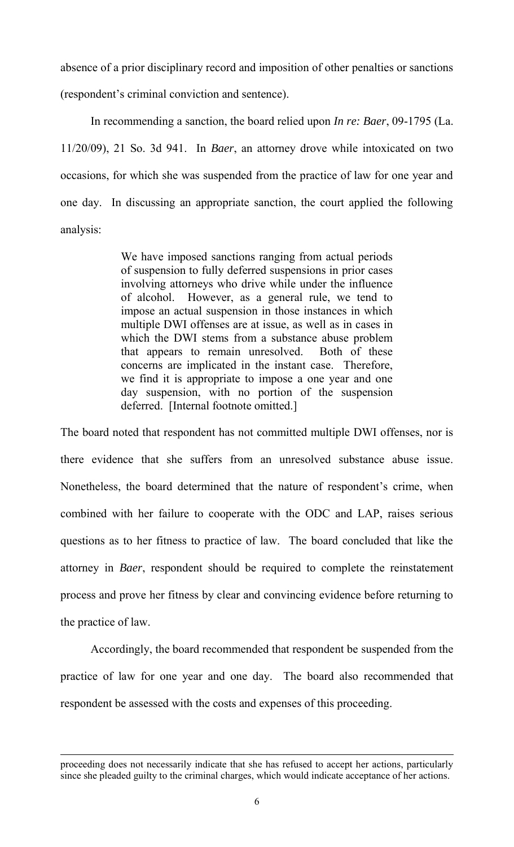absence of a prior disciplinary record and imposition of other penalties or sanctions

(respondent's criminal conviction and sentence).

In recommending a sanction, the board relied upon *In re: Baer*, 09-1795 (La. 11/20/09), 21 So. 3d 941. In *Baer*, an attorney drove while intoxicated on two occasions, for which she was suspended from the practice of law for one year and one day. In discussing an appropriate sanction, the court applied the following analysis:

> We have imposed sanctions ranging from actual periods of suspension to fully deferred suspensions in prior cases involving attorneys who drive while under the influence of alcohol. However, as a general rule, we tend to impose an actual suspension in those instances in which multiple DWI offenses are at issue, as well as in cases in which the DWI stems from a substance abuse problem that appears to remain unresolved. Both of these concerns are implicated in the instant case. Therefore, we find it is appropriate to impose a one year and one day suspension, with no portion of the suspension deferred. [Internal footnote omitted.]

The board noted that respondent has not committed multiple DWI offenses, nor is there evidence that she suffers from an unresolved substance abuse issue. Nonetheless, the board determined that the nature of respondent's crime, when combined with her failure to cooperate with the ODC and LAP, raises serious questions as to her fitness to practice of law. The board concluded that like the attorney in *Baer*, respondent should be required to complete the reinstatement process and prove her fitness by clear and convincing evidence before returning to the practice of law.

Accordingly, the board recommended that respondent be suspended from the practice of law for one year and one day. The board also recommended that respondent be assessed with the costs and expenses of this proceeding.

 $\overline{a}$ 

proceeding does not necessarily indicate that she has refused to accept her actions, particularly since she pleaded guilty to the criminal charges, which would indicate acceptance of her actions.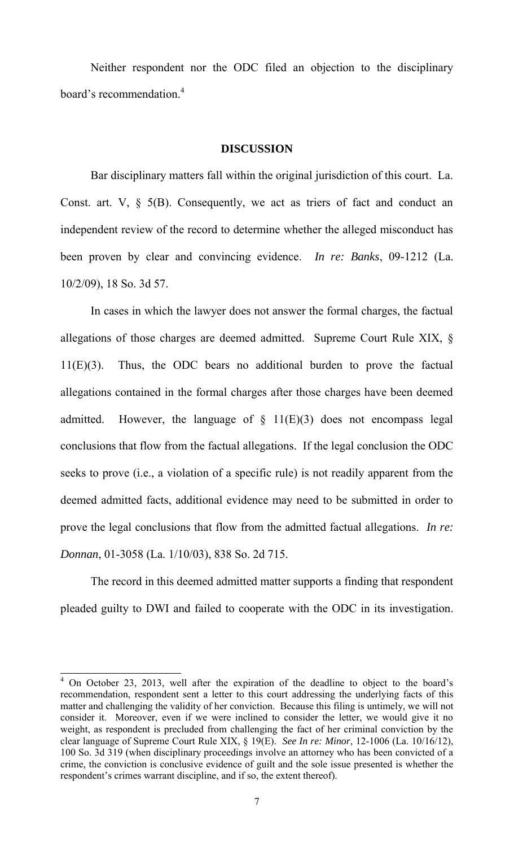Neither respondent nor the ODC filed an objection to the disciplinary board's recommendation.<sup>4</sup>

#### **DISCUSSION**

Bar disciplinary matters fall within the original jurisdiction of this court. La. Const. art. V,  $\S$  5(B). Consequently, we act as triers of fact and conduct an independent review of the record to determine whether the alleged misconduct has been proven by clear and convincing evidence. *In re: Banks*, 09-1212 (La. 10/2/09), 18 So. 3d 57.

In cases in which the lawyer does not answer the formal charges, the factual allegations of those charges are deemed admitted. Supreme Court Rule XIX, § 11(E)(3). Thus, the ODC bears no additional burden to prove the factual allegations contained in the formal charges after those charges have been deemed admitted. However, the language of  $\S$  11(E)(3) does not encompass legal conclusions that flow from the factual allegations. If the legal conclusion the ODC seeks to prove (i.e., a violation of a specific rule) is not readily apparent from the deemed admitted facts, additional evidence may need to be submitted in order to prove the legal conclusions that flow from the admitted factual allegations. *In re: Donnan*, 01-3058 (La. 1/10/03), 838 So. 2d 715.

 The record in this deemed admitted matter supports a finding that respondent pleaded guilty to DWI and failed to cooperate with the ODC in its investigation.

 $\overline{a}$ 

<sup>&</sup>lt;sup>4</sup> On October 23, 2013, well after the expiration of the deadline to object to the board's recommendation, respondent sent a letter to this court addressing the underlying facts of this matter and challenging the validity of her conviction. Because this filing is untimely, we will not consider it. Moreover, even if we were inclined to consider the letter, we would give it no weight, as respondent is precluded from challenging the fact of her criminal conviction by the clear language of Supreme Court Rule XIX, § 19(E). *See In re: Minor*, 12-1006 (La. 10/16/12), 100 So. 3d 319 (when disciplinary proceedings involve an attorney who has been convicted of a crime, the conviction is conclusive evidence of guilt and the sole issue presented is whether the respondent's crimes warrant discipline, and if so, the extent thereof).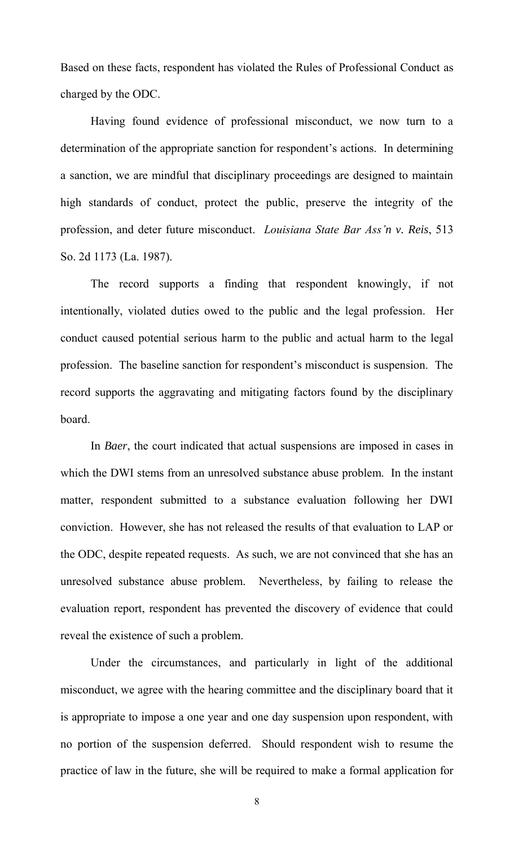Based on these facts, respondent has violated the Rules of Professional Conduct as charged by the ODC.

Having found evidence of professional misconduct, we now turn to a determination of the appropriate sanction for respondent's actions. In determining a sanction, we are mindful that disciplinary proceedings are designed to maintain high standards of conduct, protect the public, preserve the integrity of the profession, and deter future misconduct. *Louisiana State Bar Ass'n v. Reis*, 513 So. 2d 1173 (La. 1987).

The record supports a finding that respondent knowingly, if not intentionally, violated duties owed to the public and the legal profession. Her conduct caused potential serious harm to the public and actual harm to the legal profession. The baseline sanction for respondent's misconduct is suspension. The record supports the aggravating and mitigating factors found by the disciplinary board.

In *Baer*, the court indicated that actual suspensions are imposed in cases in which the DWI stems from an unresolved substance abuse problem. In the instant matter, respondent submitted to a substance evaluation following her DWI conviction. However, she has not released the results of that evaluation to LAP or the ODC, despite repeated requests. As such, we are not convinced that she has an unresolved substance abuse problem. Nevertheless, by failing to release the evaluation report, respondent has prevented the discovery of evidence that could reveal the existence of such a problem.

Under the circumstances, and particularly in light of the additional misconduct, we agree with the hearing committee and the disciplinary board that it is appropriate to impose a one year and one day suspension upon respondent, with no portion of the suspension deferred. Should respondent wish to resume the practice of law in the future, she will be required to make a formal application for

8